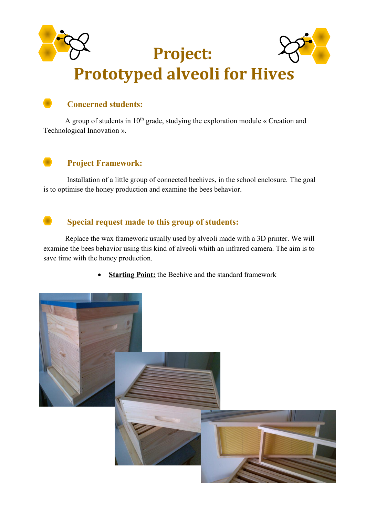

# **Concerned students:**

A group of students in  $10<sup>th</sup>$  grade, studying the exploration module « Creation and Technological Innovation ».

# **Project Framework:**

Installation of a little group of connected beehives, in the school enclosure. The goal is to optimise the honey production and examine the bees behavior.

### Special request made to this group of students:

Replace the wax framework usually used by alveoli made with a 3D printer. We will examine the bees behavior using this kind of alveoli whith an infrared camera. The aim is to save time with the honey production.

**Starting Point:** the Beehive and the standard framework

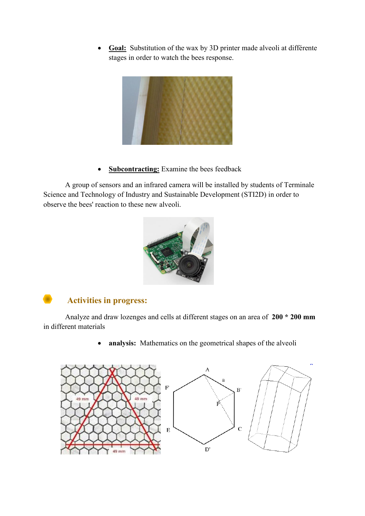Goal: Substitution of the wax by 3D printer made alveoli at différente stages in order to watch the bees response.



**Subcontracting:** Examine the bees feedback

A group of sensors and an infrared camera will be installed by students of Terminale Science and Technology of Industry and Sustainable Development (STI2D) in order to observe the bees' reaction to these new alveoli.



## **Activities in progress:**

Analyze and draw lozenges and cells at different stages on an area of 200 \* 200 mm in different materials

> analysis: Mathematics on the geometrical shapes of the alveoli  $\bullet$